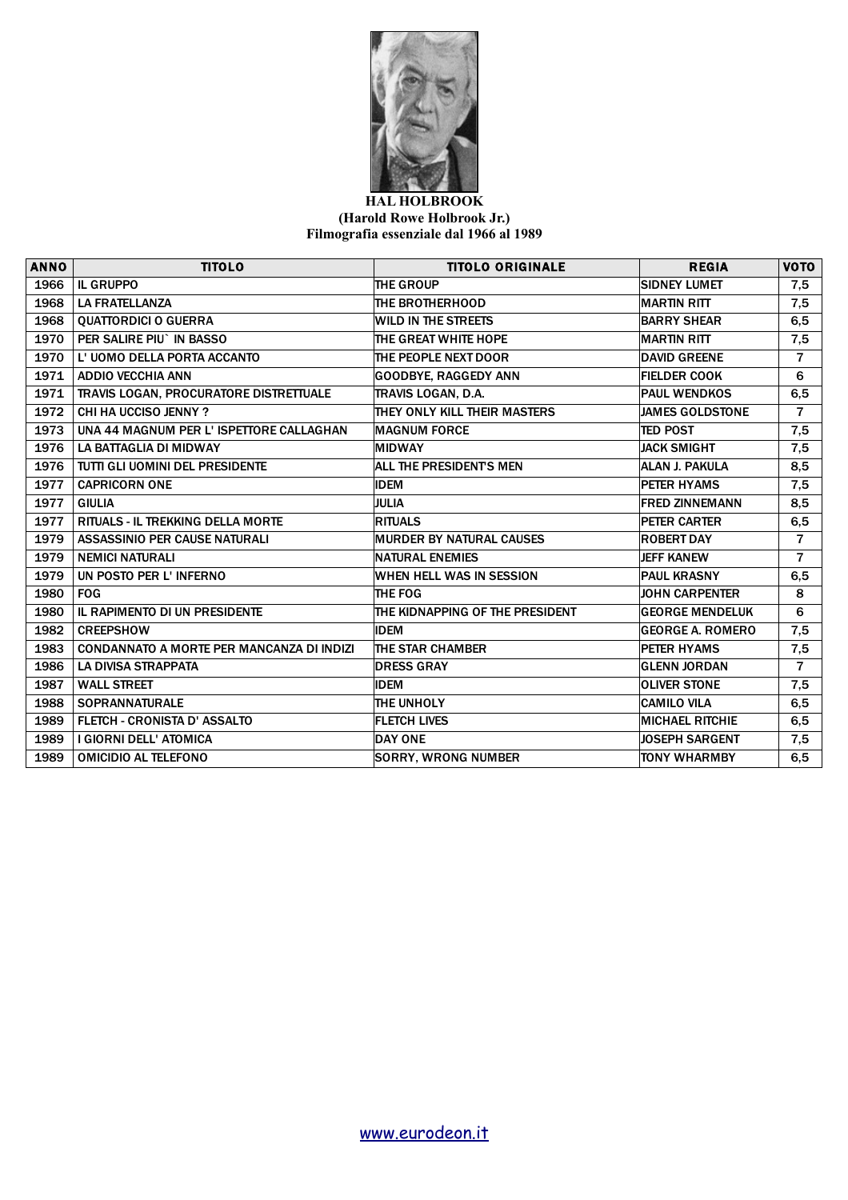

## **HAL HOLBROOK (Harold Rowe Holbrook Jr.) Filmografia essenziale dal 1966 al 1989**

| <b>ANNO</b> | <b>TITOLO</b>                             | <b>TITOLO ORIGINALE</b>         | <b>REGIA</b>            | VOTO           |
|-------------|-------------------------------------------|---------------------------------|-------------------------|----------------|
| 1966        | <b>IL GRUPPO</b>                          | <b>THE GROUP</b>                | <b>SIDNEY LUMET</b>     | 7,5            |
| 1968        | <b>LA FRATELLANZA</b>                     | THE BROTHERHOOD                 | <b>MARTIN RITT</b>      | 7,5            |
| 1968        | <b>QUATTORDICI O GUERRA</b>               | WILD IN THE STREETS             | <b>BARRY SHEAR</b>      | 6, 5           |
| 1970        | PER SALIRE PIU` IN BASSO                  | THE GREAT WHITE HOPE            | <b>MARTIN RITT</b>      | 7,5            |
| 1970        | L' UOMO DELLA PORTA ACCANTO               | THE PEOPLE NEXT DOOR            | <b>DAVID GREENE</b>     | $\overline{7}$ |
| 1971        | <b>ADDIO VECCHIA ANN</b>                  | <b>GOODBYE, RAGGEDY ANN</b>     | <b>FIELDER COOK</b>     | 6              |
| 1971        | TRAVIS LOGAN, PROCURATORE DISTRETTUALE    | TRAVIS LOGAN, D.A.              | <b>PAUL WENDKOS</b>     | 6,5            |
| 1972        | <b>CHI HA UCCISO JENNY ?</b>              | THEY ONLY KILL THEIR MASTERS    | <b>JAMES GOLDSTONE</b>  | $\overline{7}$ |
| 1973        | UNA 44 MAGNUM PER L'ISPETTORE CALLAGHAN   | <b>MAGNUM FORCE</b>             | <b>TED POST</b>         | 7,5            |
| 1976        | LA BATTAGLIA DI MIDWAY                    | <b>MIDWAY</b>                   | <b>JACK SMIGHT</b>      | 7,5            |
| 1976        | TUTTI GLI UOMINI DEL PRESIDENTE           | ALL THE PRESIDENTS MEN          | <b>ALAN J. PAKULA</b>   | 8,5            |
| 1977        | <b>CAPRICORN ONE</b>                      | <b>IDEM</b>                     | <b>PETER HYAMS</b>      | 7,5            |
| 1977        | <b>GIULIA</b>                             | <b>JULIA</b>                    | <b>FRED ZINNEMANN</b>   | 8,5            |
| 1977        | <b>RITUALS - IL TREKKING DELLA MORTE</b>  | <b>RITUALS</b>                  | PETER CARTER            | 6,5            |
| 1979        | ASSASSINIO PER CAUSE NATURALI             | <b>MURDER BY NATURAL CAUSES</b> | <b>ROBERT DAY</b>       | $\overline{7}$ |
| 1979        | <b>NEMICI NATURALI</b>                    | <b>NATURAL ENEMIES</b>          | <b>JEFF KANEW</b>       | $\overline{7}$ |
| 1979        | UN POSTO PER L' INFERNO                   | WHEN HELL WAS IN SESSION        | <b>PAUL KRASNY</b>      | 6,5            |
| 1980        | <b>FOG</b>                                | THE FOG                         | <b>JOHN CARPENTER</b>   | 8              |
| 1980        | IL RAPIMENTO DI UN PRESIDENTE             | THE KIDNAPPING OF THE PRESIDENT | <b>GEORGE MENDELUK</b>  | 6              |
| 1982        | <b>CREEPSHOW</b>                          | <b>IDEM</b>                     | <b>GEORGE A. ROMERO</b> | 7,5            |
| 1983        | CONDANNATO A MORTE PER MANCANZA DI INDIZI | THE STAR CHAMBER                | PETER HYAMS             | 7,5            |
| 1986        | <b>LA DIVISA STRAPPATA</b>                | <b>DRESS GRAY</b>               | <b>GLENN JORDAN</b>     | $\overline{7}$ |
| 1987        | <b>WALL STREET</b>                        | <b>IDEM</b>                     | <b>OLIVER STONE</b>     | 7,5            |
| 1988        | <b>SOPRANNATURALE</b>                     | THE UNHOLY                      | <b>CAMILO VILA</b>      | 6,5            |
| 1989        | FLETCH - CRONISTA D' ASSALTO              | <b>FLETCH LIVES</b>             | <b>MICHAEL RITCHIE</b>  | 6, 5           |
| 1989        | I GIORNI DELL' ATOMICA                    | <b>DAY ONE</b>                  | <b>JOSEPH SARGENT</b>   | 7,5            |
| 1989        | <b>OMICIDIO AL TELEFONO</b>               | <b>SORRY, WRONG NUMBER</b>      | <b>TONY WHARMBY</b>     | 6, 5           |